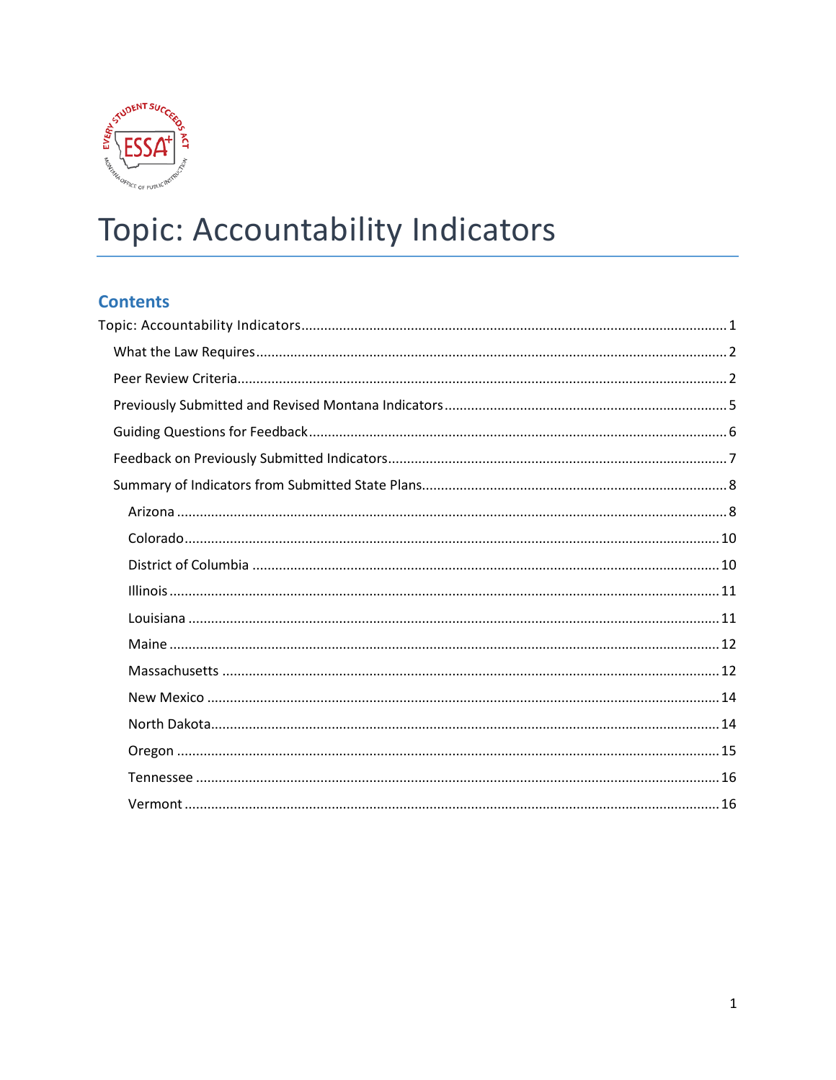

# <span id="page-0-0"></span>Topic: Accountability Indicators

# **Contents**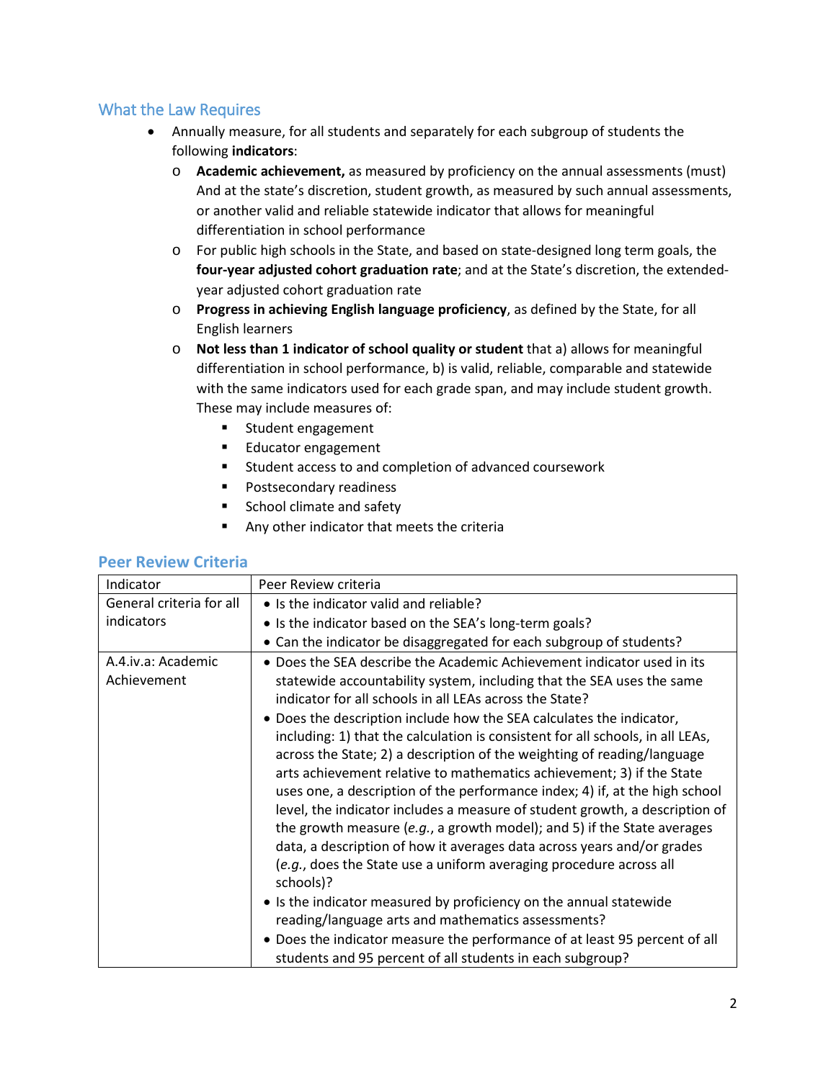# <span id="page-1-0"></span>What the Law Requires

- •Annually measure, for all students and separately for each subgroup of students the following **indicators**:
	- o**Academic achievement,** as measured by proficiency on the annual assessments (must) And at the state's discretion, student growth, as measured by such annual assessments, or another valid and reliable statewide indicator that allows for meaningful differentiation in school performance
	- $\circ$  For public high schools in the State, and based on state-designed long term goals, the **four-year adjusted cohort graduation rate**; and at the State's discretion, the extendedyear adjusted cohort graduation rate
	- o**Progress in achieving English language proficiency**, as defined by the State, for all English learners
	- o**Not less than 1 indicator of school quality or student** that a) allows for meaningful differentiation in school performance, b) is valid, reliable, comparable and statewide with the same indicators used for each grade span, and may include student growth. These may include measures of:
		- **Student engagement**
		- **Educator engagement**
		- **Student access to and completion of advanced coursework**
		- **Postsecondary readiness**
		- **School climate and safety**
		- Any other indicator that meets the criteria

#### <span id="page-1-1"></span>**Peer Review Criteria**

| Indicator                         | Peer Review criteria                                                                                                                                                                                                                                                                                                                                                                                                                                                                                                                                                                                                                                                                                                                                                                                                                                                                                                                                                                                                                                                                                                                                                                                  |  |  |  |  |
|-----------------------------------|-------------------------------------------------------------------------------------------------------------------------------------------------------------------------------------------------------------------------------------------------------------------------------------------------------------------------------------------------------------------------------------------------------------------------------------------------------------------------------------------------------------------------------------------------------------------------------------------------------------------------------------------------------------------------------------------------------------------------------------------------------------------------------------------------------------------------------------------------------------------------------------------------------------------------------------------------------------------------------------------------------------------------------------------------------------------------------------------------------------------------------------------------------------------------------------------------------|--|--|--|--|
| General criteria for all          | • Is the indicator valid and reliable?                                                                                                                                                                                                                                                                                                                                                                                                                                                                                                                                                                                                                                                                                                                                                                                                                                                                                                                                                                                                                                                                                                                                                                |  |  |  |  |
| indicators                        | • Is the indicator based on the SEA's long-term goals?                                                                                                                                                                                                                                                                                                                                                                                                                                                                                                                                                                                                                                                                                                                                                                                                                                                                                                                                                                                                                                                                                                                                                |  |  |  |  |
|                                   | • Can the indicator be disaggregated for each subgroup of students?                                                                                                                                                                                                                                                                                                                                                                                                                                                                                                                                                                                                                                                                                                                                                                                                                                                                                                                                                                                                                                                                                                                                   |  |  |  |  |
| A.4.iv.a: Academic<br>Achievement | • Does the SEA describe the Academic Achievement indicator used in its<br>statewide accountability system, including that the SEA uses the same<br>indicator for all schools in all LEAs across the State?<br>• Does the description include how the SEA calculates the indicator,<br>including: 1) that the calculation is consistent for all schools, in all LEAs,<br>across the State; 2) a description of the weighting of reading/language<br>arts achievement relative to mathematics achievement; 3) if the State<br>uses one, a description of the performance index; 4) if, at the high school<br>level, the indicator includes a measure of student growth, a description of<br>the growth measure (e.g., a growth model); and 5) if the State averages<br>data, a description of how it averages data across years and/or grades<br>(e.g., does the State use a uniform averaging procedure across all<br>schools)?<br>• Is the indicator measured by proficiency on the annual statewide<br>reading/language arts and mathematics assessments?<br>• Does the indicator measure the performance of at least 95 percent of all<br>students and 95 percent of all students in each subgroup? |  |  |  |  |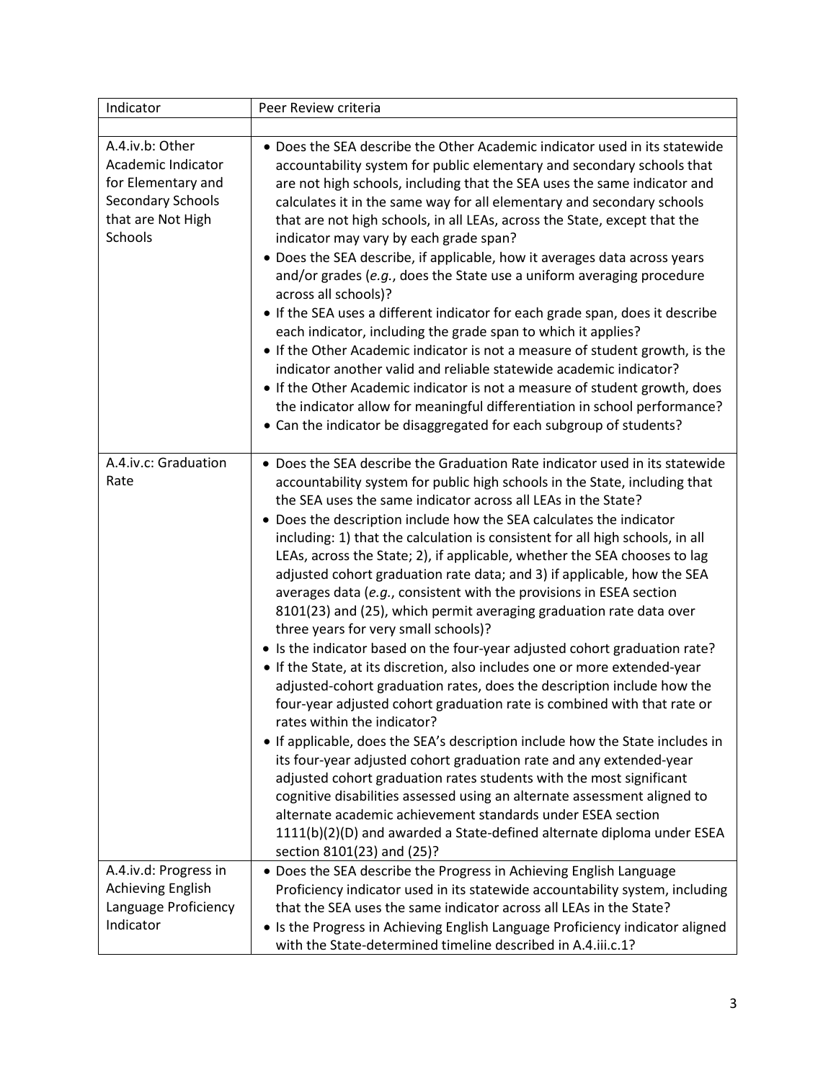| Indicator                                                                                                               | Peer Review criteria                                                                                                                                                                                                                                                                                                                                                                                                                                                                                                                                                                                                                                                                                                                                                                                                                                                                                                                                                                                                                                                                                                                                                                                                                                                                                                                                                                                                                                                                                                                                               |
|-------------------------------------------------------------------------------------------------------------------------|--------------------------------------------------------------------------------------------------------------------------------------------------------------------------------------------------------------------------------------------------------------------------------------------------------------------------------------------------------------------------------------------------------------------------------------------------------------------------------------------------------------------------------------------------------------------------------------------------------------------------------------------------------------------------------------------------------------------------------------------------------------------------------------------------------------------------------------------------------------------------------------------------------------------------------------------------------------------------------------------------------------------------------------------------------------------------------------------------------------------------------------------------------------------------------------------------------------------------------------------------------------------------------------------------------------------------------------------------------------------------------------------------------------------------------------------------------------------------------------------------------------------------------------------------------------------|
|                                                                                                                         |                                                                                                                                                                                                                                                                                                                                                                                                                                                                                                                                                                                                                                                                                                                                                                                                                                                                                                                                                                                                                                                                                                                                                                                                                                                                                                                                                                                                                                                                                                                                                                    |
| A.4.iv.b: Other<br>Academic Indicator<br>for Elementary and<br><b>Secondary Schools</b><br>that are Not High<br>Schools | • Does the SEA describe the Other Academic indicator used in its statewide<br>accountability system for public elementary and secondary schools that<br>are not high schools, including that the SEA uses the same indicator and<br>calculates it in the same way for all elementary and secondary schools<br>that are not high schools, in all LEAs, across the State, except that the<br>indicator may vary by each grade span?<br>• Does the SEA describe, if applicable, how it averages data across years<br>and/or grades (e.g., does the State use a uniform averaging procedure<br>across all schools)?<br>• If the SEA uses a different indicator for each grade span, does it describe<br>each indicator, including the grade span to which it applies?<br>• If the Other Academic indicator is not a measure of student growth, is the<br>indicator another valid and reliable statewide academic indicator?<br>• If the Other Academic indicator is not a measure of student growth, does<br>the indicator allow for meaningful differentiation in school performance?<br>• Can the indicator be disaggregated for each subgroup of students?                                                                                                                                                                                                                                                                                                                                                                                                          |
| A.4.iv.c: Graduation<br>Rate                                                                                            | • Does the SEA describe the Graduation Rate indicator used in its statewide<br>accountability system for public high schools in the State, including that<br>the SEA uses the same indicator across all LEAs in the State?<br>• Does the description include how the SEA calculates the indicator<br>including: 1) that the calculation is consistent for all high schools, in all<br>LEAs, across the State; 2), if applicable, whether the SEA chooses to lag<br>adjusted cohort graduation rate data; and 3) if applicable, how the SEA<br>averages data (e.g., consistent with the provisions in ESEA section<br>8101(23) and (25), which permit averaging graduation rate data over<br>three years for very small schools)?<br>• Is the indicator based on the four-year adjusted cohort graduation rate?<br>• If the State, at its discretion, also includes one or more extended-year<br>adjusted-cohort graduation rates, does the description include how the<br>four-year adjusted cohort graduation rate is combined with that rate or<br>rates within the indicator?<br>• If applicable, does the SEA's description include how the State includes in<br>its four-year adjusted cohort graduation rate and any extended-year<br>adjusted cohort graduation rates students with the most significant<br>cognitive disabilities assessed using an alternate assessment aligned to<br>alternate academic achievement standards under ESEA section<br>1111(b)(2)(D) and awarded a State-defined alternate diploma under ESEA<br>section 8101(23) and (25)? |
| A.4.iv.d: Progress in<br>Achieving English<br>Language Proficiency<br>Indicator                                         | • Does the SEA describe the Progress in Achieving English Language<br>Proficiency indicator used in its statewide accountability system, including<br>that the SEA uses the same indicator across all LEAs in the State?<br>• Is the Progress in Achieving English Language Proficiency indicator aligned<br>with the State-determined timeline described in A.4.iii.c.1?                                                                                                                                                                                                                                                                                                                                                                                                                                                                                                                                                                                                                                                                                                                                                                                                                                                                                                                                                                                                                                                                                                                                                                                          |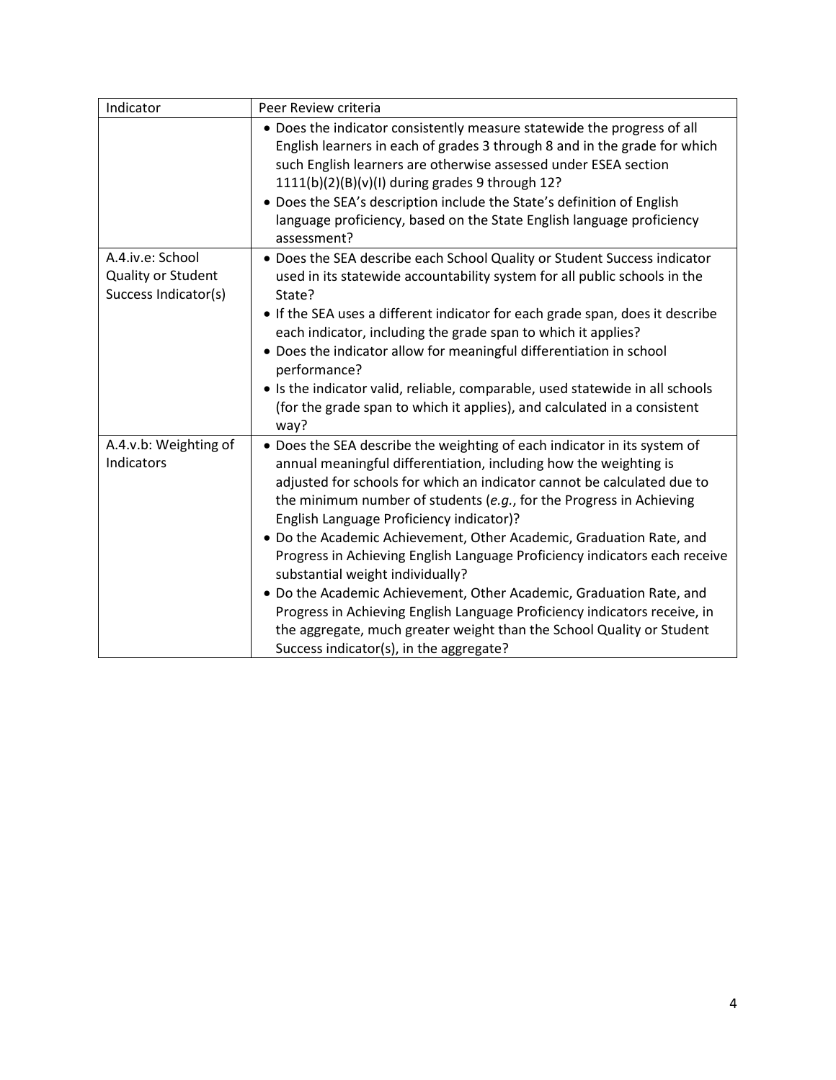| Indicator                                                      | Peer Review criteria                                                                                                                                                                                                                                                                                                                                                                                                                                                                                                                                                                                                                                                                                                                                                                                         |
|----------------------------------------------------------------|--------------------------------------------------------------------------------------------------------------------------------------------------------------------------------------------------------------------------------------------------------------------------------------------------------------------------------------------------------------------------------------------------------------------------------------------------------------------------------------------------------------------------------------------------------------------------------------------------------------------------------------------------------------------------------------------------------------------------------------------------------------------------------------------------------------|
|                                                                | • Does the indicator consistently measure statewide the progress of all<br>English learners in each of grades 3 through 8 and in the grade for which<br>such English learners are otherwise assessed under ESEA section<br>$1111(b)(2)(B)(v)(I)$ during grades 9 through 12?<br>• Does the SEA's description include the State's definition of English<br>language proficiency, based on the State English language proficiency<br>assessment?                                                                                                                                                                                                                                                                                                                                                               |
| A.4.iv.e: School<br>Quality or Student<br>Success Indicator(s) | . Does the SEA describe each School Quality or Student Success indicator<br>used in its statewide accountability system for all public schools in the<br>State?<br>• If the SEA uses a different indicator for each grade span, does it describe<br>each indicator, including the grade span to which it applies?<br>• Does the indicator allow for meaningful differentiation in school<br>performance?<br>• Is the indicator valid, reliable, comparable, used statewide in all schools<br>(for the grade span to which it applies), and calculated in a consistent<br>way?                                                                                                                                                                                                                                |
| A.4.v.b: Weighting of<br>Indicators                            | . Does the SEA describe the weighting of each indicator in its system of<br>annual meaningful differentiation, including how the weighting is<br>adjusted for schools for which an indicator cannot be calculated due to<br>the minimum number of students (e.g., for the Progress in Achieving<br>English Language Proficiency indicator)?<br>. Do the Academic Achievement, Other Academic, Graduation Rate, and<br>Progress in Achieving English Language Proficiency indicators each receive<br>substantial weight individually?<br>. Do the Academic Achievement, Other Academic, Graduation Rate, and<br>Progress in Achieving English Language Proficiency indicators receive, in<br>the aggregate, much greater weight than the School Quality or Student<br>Success indicator(s), in the aggregate? |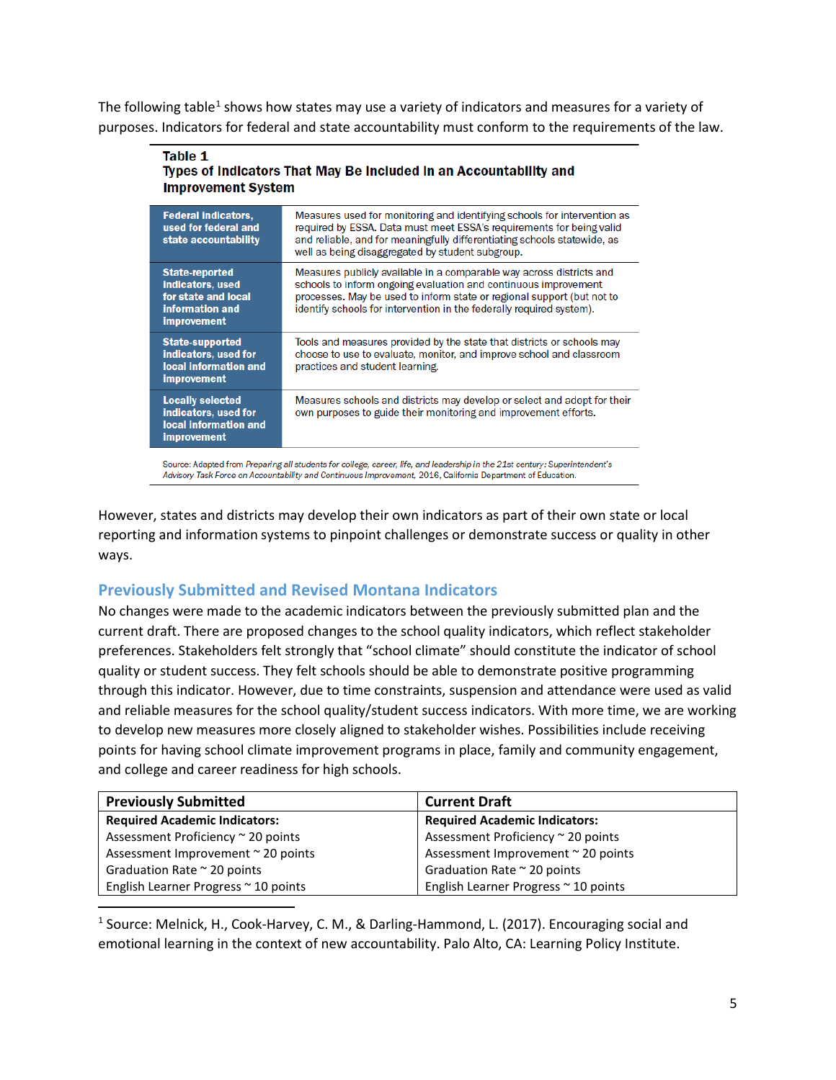The following table<sup>1</sup> shows how states may use a variety of indicators and measures for a variety of purposes. Indicators for federal and state accountability must conform to the requirements of the law.

#### Table 1 Types of Indicators That May Be Included in an Accountability and **Improvement System**

| <b>Federal indicators,</b><br>used for federal and<br>state accountability                                | Measures used for monitoring and identifying schools for intervention as<br>required by ESSA. Data must meet ESSA's requirements for being valid<br>and reliable, and for meaningfully differentiating schools statewide, as<br>well as being disaggregated by student subgroup.          |
|-----------------------------------------------------------------------------------------------------------|-------------------------------------------------------------------------------------------------------------------------------------------------------------------------------------------------------------------------------------------------------------------------------------------|
| <b>State-reported</b><br>indicators, used<br>for state and local<br>information and<br><b>improvement</b> | Measures publicly available in a comparable way across districts and<br>schools to inform ongoing evaluation and continuous improvement<br>processes. May be used to inform state or regional support (but not to<br>identify schools for intervention in the federally required system). |
| <b>State-supported</b><br>indicators, used for<br>local information and<br><b>improvement</b>             | Tools and measures provided by the state that districts or schools may<br>choose to use to evaluate, monitor, and improve school and classroom<br>practices and student learning.                                                                                                         |
| <b>Locally selected</b><br>indicators, used for<br>local information and<br><b>improvement</b>            | Measures schools and districts may develop or select and adopt for their<br>own purposes to guide their monitoring and improvement efforts.                                                                                                                                               |

Source: Adapted from Preparing all students for college, career, life, and leadership in the 21st century: Superintendent's Advisory Task Force on Accountability and Continuous Improvement, 2016, California Department of Education.

 reporting and information systems to pinpoint challenges or demonstrate success or quality in other However, states and districts may develop their own indicators as part of their own state or local ways.

# <span id="page-4-0"></span> **Previously Submitted and Revised Montana Indicators**

 No changes were made to the academic indicators between the previously submitted plan and the current draft. There are proposed changes to the school quality indicators, which reflect stakeholder preferences. Stakeholders felt strongly that "school climate" should constitute the indicator of school through this indicator. However, due to time constraints, suspension and attendance were used as valid and reliable measures for the school quality/student success indicators. With more time, we are working quality or student success. They felt schools should be able to demonstrate positive programming to develop new measures more closely aligned to stakeholder wishes. Possibilities include receiving points for having school climate improvement programs in place, family and community engagement, and college and career readiness for high schools.

| <b>Previously Submitted</b>          | <b>Current Draft</b>                 |
|--------------------------------------|--------------------------------------|
| <b>Required Academic Indicators:</b> | <b>Required Academic Indicators:</b> |
| Assessment Proficiency ~ 20 points   | Assessment Proficiency ~ 20 points   |
| Assessment Improvement ~ 20 points   | Assessment Improvement ~ 20 points   |
| Graduation Rate ~ 20 points          | Graduation Rate $\approx$ 20 points  |
| English Learner Progress ~ 10 points | English Learner Progress ~ 10 points |

<span id="page-4-1"></span> $\overline{\phantom{a}}$  emotional learning in the context of new accountability. Palo Alto, CA: Learning Policy Institute. 1 Source: Melnick, H., Cook-Harvey, C. M., & Darling-Hammond, L. (2017). Encouraging social and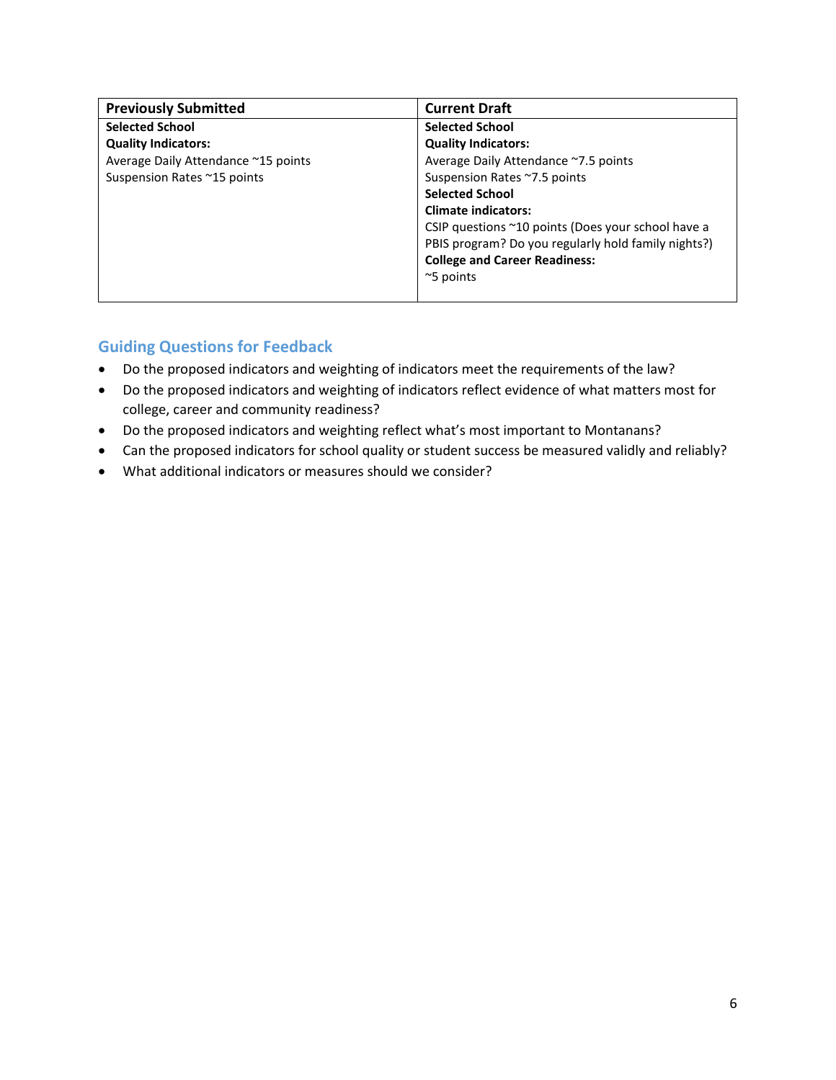| <b>Previously Submitted</b>         | <b>Current Draft</b>                                |
|-------------------------------------|-----------------------------------------------------|
| <b>Selected School</b>              | <b>Selected School</b>                              |
| <b>Quality Indicators:</b>          | <b>Quality Indicators:</b>                          |
| Average Daily Attendance ~15 points | Average Daily Attendance ~7.5 points                |
| Suspension Rates ~15 points         | Suspension Rates ~7.5 points                        |
|                                     | <b>Selected School</b>                              |
|                                     | <b>Climate indicators:</b>                          |
|                                     | CSIP questions ~10 points (Does your school have a  |
|                                     | PBIS program? Do you regularly hold family nights?) |
|                                     | <b>College and Career Readiness:</b>                |
|                                     | $\approx$ 5 points                                  |
|                                     |                                                     |

# <span id="page-5-0"></span> **Guiding Questions for Feedback**

- •Do the proposed indicators and weighting of indicators meet the requirements of the law?
- •Do the proposed indicators and weighting of indicators reflect evidence of what matters most for college, career and community readiness?
- •Do the proposed indicators and weighting reflect what's most important to Montanans?
- •Can the proposed indicators for school quality or student success be measured validly and reliably?
- •What additional indicators or measures should we consider?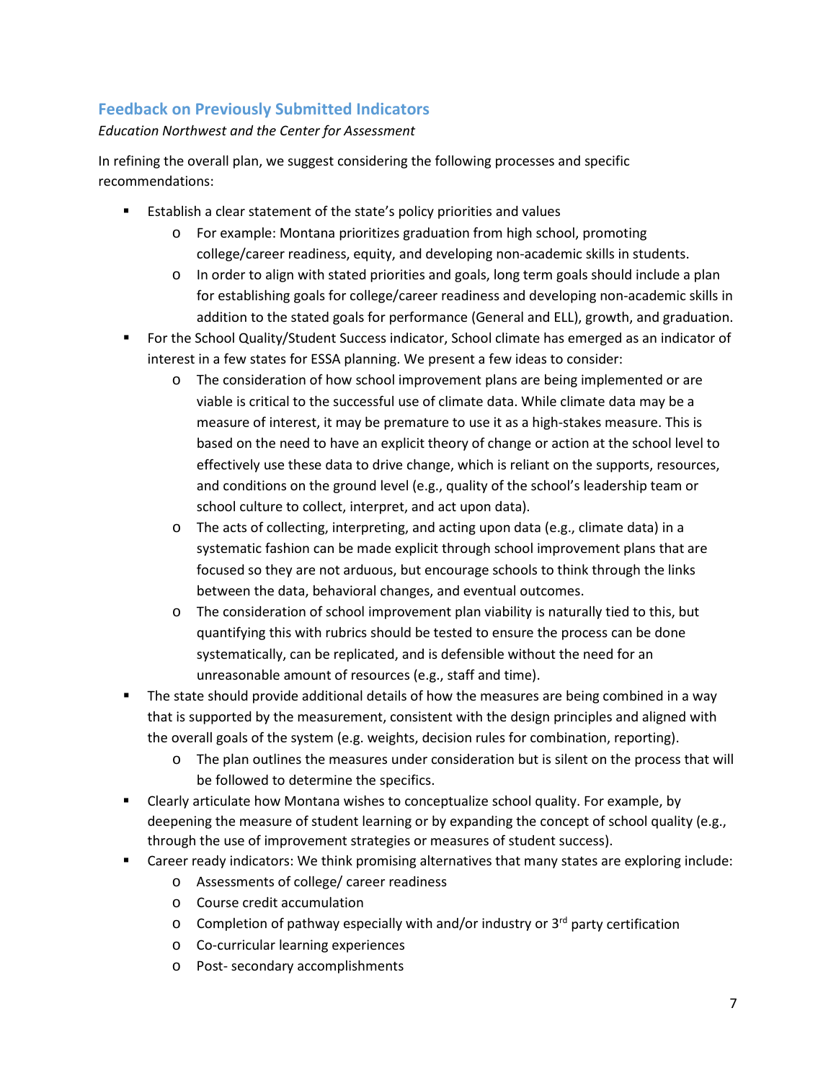# <span id="page-6-0"></span>**Feedback on Previously Submitted Indicators**

#### *Education Northwest and the Center for Assessment*

In refining the overall plan, we suggest considering the following processes and specific recommendations:

- Establish a clear statement of the state's policy priorities and values
	- $\circ$  For example: Montana prioritizes graduation from high school, promoting college/career readiness, equity, and developing non-academic skills in students.
	- $\circ$  In order to align with stated priorities and goals, long term goals should include a plan for establishing goals for college/career readiness and developing non-academic skills in addition to the stated goals for performance (General and ELL), growth, and graduation.
- interest in a few states for ESSA planning. We present a few ideas to consider: For the School Quality/Student Success indicator, School climate has emerged as an indicator of
	- based on the need to have an explicit theory of change or action at the school level to  $\circ$  The consideration of how school improvement plans are being implemented or are viable is critical to the successful use of climate data. While climate data may be a measure of interest, it may be premature to use it as a high-stakes measure. This is effectively use these data to drive change, which is reliant on the supports, resources, and conditions on the ground level (e.g., quality of the school's leadership team or school culture to collect, interpret, and act upon data).
	- systematic fashion can be made explicit through school improvement plans that are focused so they are not arduous, but encourage schools to think through the links  $\circ$  The acts of collecting, interpreting, and acting upon data (e.g., climate data) in a between the data, behavioral changes, and eventual outcomes.
	- quantifying this with rubrics should be tested to ensure the process can be done unreasonable amount of resources (e.g., staff and time).  $\circ$  The consideration of school improvement plan viability is naturally tied to this, but systematically, can be replicated, and is defensible without the need for an
- that is supported by the measurement, consistent with the design principles and aligned with the overall goals of the system (e.g. weights, decision rules for combination, reporting). **The state should provide additional details of how the measures are being combined in a way** 
	- $\circ$  The plan outlines the measures under consideration but is silent on the process that will be followed to determine the specifics.
- deepening the measure of student learning or by expanding the concept of school quality (e.g., through the use of improvement strategies or measures of student success). Clearly articulate how Montana wishes to conceptualize school quality. For example, by
- Career ready indicators: We think promising alternatives that many states are exploring include:
	- o Assessments of college/ career readiness
	- $\circ$  Course credit accumulation
	- $\circ$  Completion of pathway especially with and/or industry or 3<sup>rd</sup> party certification
	- o Co-curricular learning experiences
	- o Post- secondary accomplishments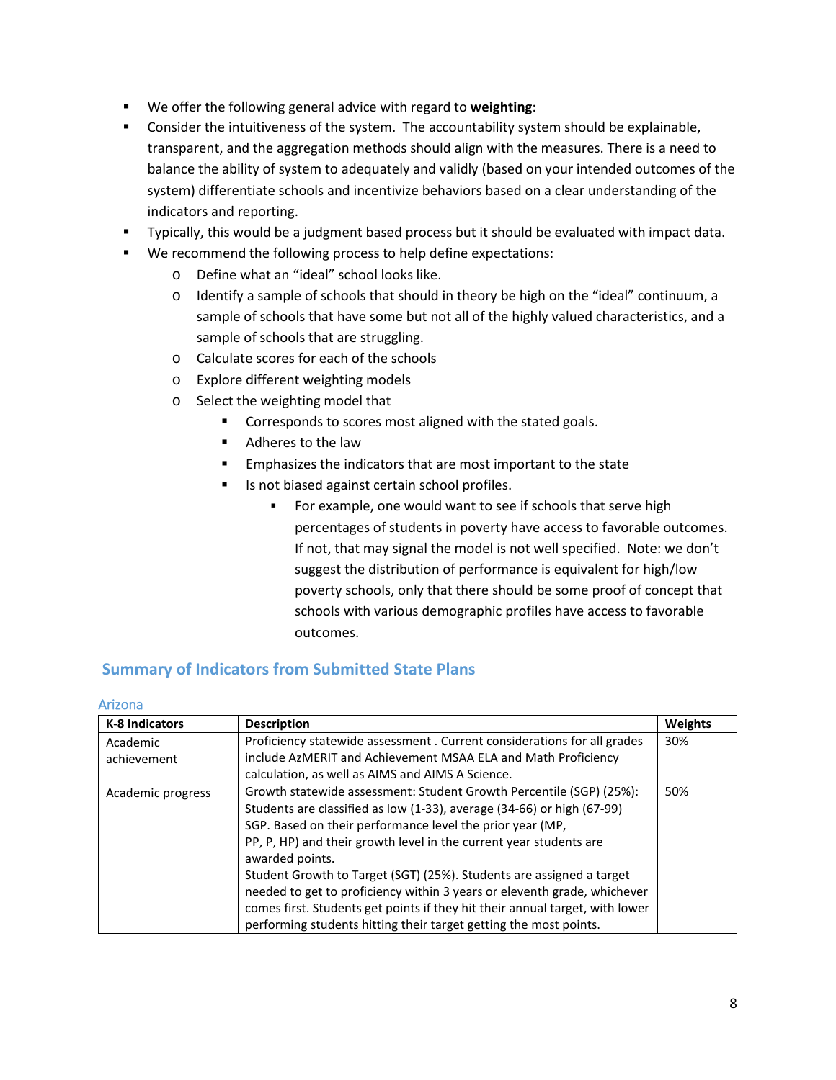- We offer the following general advice with regard to **weighting**:
- **Consider the intuitiveness of the system. The accountability system should be explainable,**  balance the ability of system to adequately and validly (based on your intended outcomes of the transparent, and the aggregation methods should align with the measures. There is a need to system) differentiate schools and incentivize behaviors based on a clear understanding of the indicators and reporting.
- **Typically, this would be a judgment based process but it should be evaluated with impact data.**
- We recommend the following process to help define expectations:
	- o Define what an "ideal" school looks like.
	- sample of schools that have some but not all of the highly valued characteristics, and a  $\circ$  Identify a sample of schools that should in theory be high on the "ideal" continuum, a sample of schools that are struggling.
	- o Calculate scores for each of the schools
	- o Explore different weighting models
	- $\circ$  Select the weighting model that
		- **Corresponds to scores most aligned with the stated goals.**
		- Adheres to the law
		- **Emphasizes the indicators that are most important to the state**
		- Is not biased against certain school profiles.
			- For example, one would want to see if schools that serve high percentages of students in poverty have access to favorable outcomes.<br>If not, that may signal the model is not well specified. Note: we don't If not, that may signal the model is not well specified. Note: we don't suggest the distribution of performance is equivalent for high/low outcomes. poverty schools, only that there should be some proof of concept that schools with various demographic profiles have access to favorable

# <span id="page-7-0"></span> **Summary of Indicators from Submitted State Plans**

| <b>K-8 Indicators</b> | <b>Description</b>                                                                    | Weights |
|-----------------------|---------------------------------------------------------------------------------------|---------|
| Academic              | Proficiency statewide assessment. Current considerations for all grades               | 30%     |
| achievement           | include AzMERIT and Achievement MSAA ELA and Math Proficiency                         |         |
|                       | calculation, as well as AIMS and AIMS A Science.                                      |         |
| Academic progress     | Growth statewide assessment: Student Growth Percentile (SGP) (25%):                   | 50%     |
|                       | Students are classified as low (1-33), average (34-66) or high (67-99)                |         |
|                       | SGP. Based on their performance level the prior year (MP,                             |         |
|                       | PP, P, HP) and their growth level in the current year students are<br>awarded points. |         |
|                       | Student Growth to Target (SGT) (25%). Students are assigned a target                  |         |
|                       | needed to get to proficiency within 3 years or eleventh grade, whichever              |         |
|                       | comes first. Students get points if they hit their annual target, with lower          |         |
|                       | performing students hitting their target getting the most points.                     |         |

#### <span id="page-7-1"></span>Arizona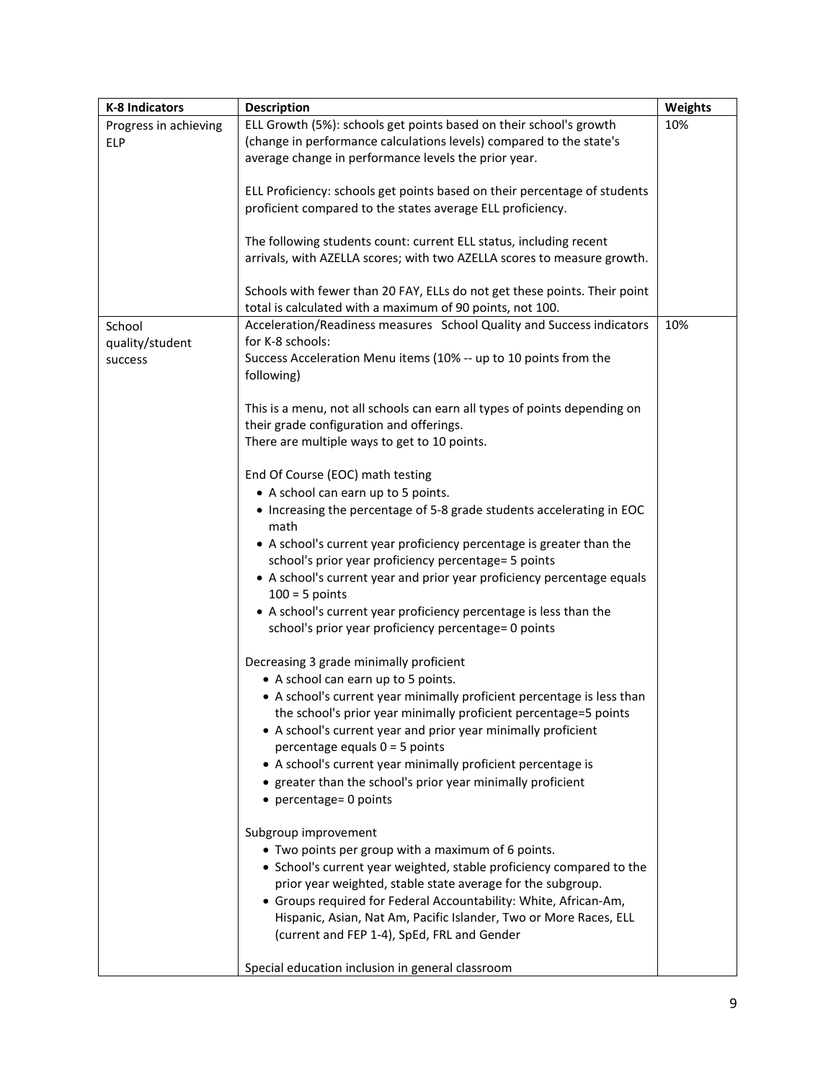| <b>K-8 Indicators</b> | <b>Description</b>                                                                                                                    | Weights |
|-----------------------|---------------------------------------------------------------------------------------------------------------------------------------|---------|
| Progress in achieving | ELL Growth (5%): schools get points based on their school's growth                                                                    | 10%     |
| <b>ELP</b>            | (change in performance calculations levels) compared to the state's                                                                   |         |
|                       | average change in performance levels the prior year.                                                                                  |         |
|                       | ELL Proficiency: schools get points based on their percentage of students                                                             |         |
|                       | proficient compared to the states average ELL proficiency.                                                                            |         |
|                       |                                                                                                                                       |         |
|                       | The following students count: current ELL status, including recent                                                                    |         |
|                       | arrivals, with AZELLA scores; with two AZELLA scores to measure growth.                                                               |         |
|                       |                                                                                                                                       |         |
|                       | Schools with fewer than 20 FAY, ELLs do not get these points. Their point                                                             |         |
|                       | total is calculated with a maximum of 90 points, not 100.                                                                             |         |
| School                | Acceleration/Readiness measures School Quality and Success indicators                                                                 | 10%     |
| quality/student       | for K-8 schools:                                                                                                                      |         |
| success               | Success Acceleration Menu items (10% -- up to 10 points from the                                                                      |         |
|                       | following)                                                                                                                            |         |
|                       | This is a menu, not all schools can earn all types of points depending on                                                             |         |
|                       | their grade configuration and offerings.                                                                                              |         |
|                       | There are multiple ways to get to 10 points.                                                                                          |         |
|                       |                                                                                                                                       |         |
|                       | End Of Course (EOC) math testing                                                                                                      |         |
|                       | • A school can earn up to 5 points.                                                                                                   |         |
|                       | • Increasing the percentage of 5-8 grade students accelerating in EOC                                                                 |         |
|                       | math                                                                                                                                  |         |
|                       | • A school's current year proficiency percentage is greater than the                                                                  |         |
|                       | school's prior year proficiency percentage= 5 points                                                                                  |         |
|                       | • A school's current year and prior year proficiency percentage equals                                                                |         |
|                       | $100 = 5$ points                                                                                                                      |         |
|                       | • A school's current year proficiency percentage is less than the                                                                     |         |
|                       | school's prior year proficiency percentage= 0 points                                                                                  |         |
|                       | Decreasing 3 grade minimally proficient                                                                                               |         |
|                       | • A school can earn up to 5 points.                                                                                                   |         |
|                       | • A school's current year minimally proficient percentage is less than                                                                |         |
|                       | the school's prior year minimally proficient percentage=5 points                                                                      |         |
|                       | • A school's current year and prior year minimally proficient                                                                         |         |
|                       | percentage equals $0 = 5$ points                                                                                                      |         |
|                       | • A school's current year minimally proficient percentage is                                                                          |         |
|                       | • greater than the school's prior year minimally proficient                                                                           |         |
|                       | • percentage= 0 points                                                                                                                |         |
|                       |                                                                                                                                       |         |
|                       | Subgroup improvement                                                                                                                  |         |
|                       | • Two points per group with a maximum of 6 points.                                                                                    |         |
|                       | • School's current year weighted, stable proficiency compared to the                                                                  |         |
|                       | prior year weighted, stable state average for the subgroup.                                                                           |         |
|                       | • Groups required for Federal Accountability: White, African-Am,<br>Hispanic, Asian, Nat Am, Pacific Islander, Two or More Races, ELL |         |
|                       | (current and FEP 1-4), SpEd, FRL and Gender                                                                                           |         |
|                       |                                                                                                                                       |         |
|                       | Special education inclusion in general classroom                                                                                      |         |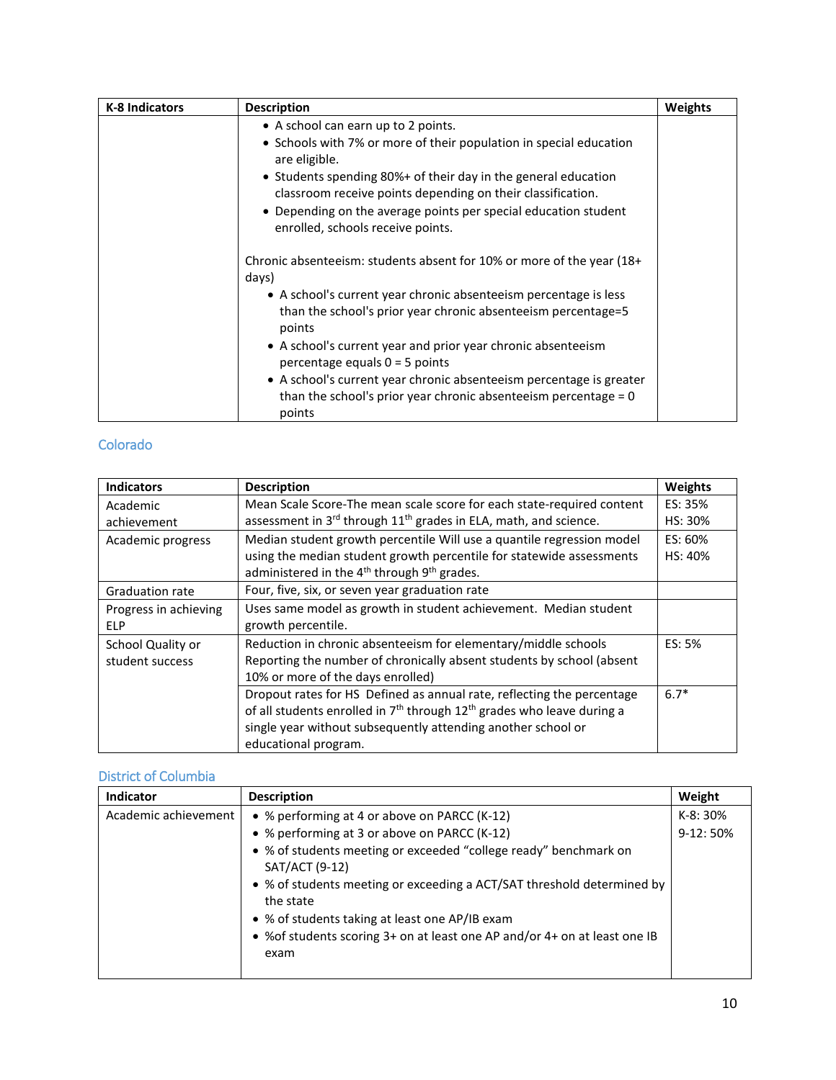| <b>K-8 Indicators</b> | <b>Description</b>                                                                                                                                 | <b>Weights</b> |
|-----------------------|----------------------------------------------------------------------------------------------------------------------------------------------------|----------------|
|                       | • A school can earn up to 2 points.                                                                                                                |                |
|                       | • Schools with 7% or more of their population in special education<br>are eligible.                                                                |                |
|                       | • Students spending 80%+ of their day in the general education<br>classroom receive points depending on their classification.                      |                |
|                       | • Depending on the average points per special education student<br>enrolled, schools receive points.                                               |                |
|                       | Chronic absenteeism: students absent for 10% or more of the year (18+<br>days)                                                                     |                |
|                       | • A school's current year chronic absenteeism percentage is less<br>than the school's prior year chronic absenteeism percentage=5<br>points        |                |
|                       | • A school's current year and prior year chronic absenteeism<br>percentage equals $0 = 5$ points                                                   |                |
|                       | • A school's current year chronic absenteeism percentage is greater<br>than the school's prior year chronic absenteeism percentage $= 0$<br>points |                |

#### <span id="page-9-0"></span>Colorado

| <b>Indicators</b>      | <b>Description</b>                                                                             | Weights |
|------------------------|------------------------------------------------------------------------------------------------|---------|
| Academic               | Mean Scale Score-The mean scale score for each state-required content                          | ES: 35% |
| achievement            | assessment in 3rd through 11 <sup>th</sup> grades in ELA, math, and science.                   | HS: 30% |
| Academic progress      | Median student growth percentile Will use a quantile regression model                          | ES: 60% |
|                        | using the median student growth percentile for statewide assessments                           | HS: 40% |
|                        | administered in the 4 <sup>th</sup> through 9 <sup>th</sup> grades.                            |         |
| <b>Graduation rate</b> | Four, five, six, or seven year graduation rate                                                 |         |
| Progress in achieving  | Uses same model as growth in student achievement. Median student                               |         |
| <b>ELP</b>             | growth percentile.                                                                             |         |
| School Quality or      | Reduction in chronic absenteeism for elementary/middle schools                                 | ES: 5%  |
| student success        | Reporting the number of chronically absent students by school (absent                          |         |
|                        | 10% or more of the days enrolled)                                                              |         |
|                        | Dropout rates for HS Defined as annual rate, reflecting the percentage                         | $6.7*$  |
|                        | of all students enrolled in 7 <sup>th</sup> through 12 <sup>th</sup> grades who leave during a |         |
|                        | single year without subsequently attending another school or                                   |         |
|                        | educational program.                                                                           |         |

# <span id="page-9-1"></span>District of Columbia

| <b>Indicator</b>     | <b>Description</b>                                                                  | Weight     |
|----------------------|-------------------------------------------------------------------------------------|------------|
| Academic achievement | • % performing at 4 or above on PARCC (K-12)                                        | $K-8:30%$  |
|                      | • % performing at 3 or above on PARCC (K-12)                                        | $9-12:50%$ |
|                      | • % of students meeting or exceeded "college ready" benchmark on<br>SAT/ACT (9-12)  |            |
|                      | • % of students meeting or exceeding a ACT/SAT threshold determined by<br>the state |            |
|                      | • % of students taking at least one AP/IB exam                                      |            |
|                      | • % of students scoring 3+ on at least one AP and/or 4+ on at least one IB<br>exam  |            |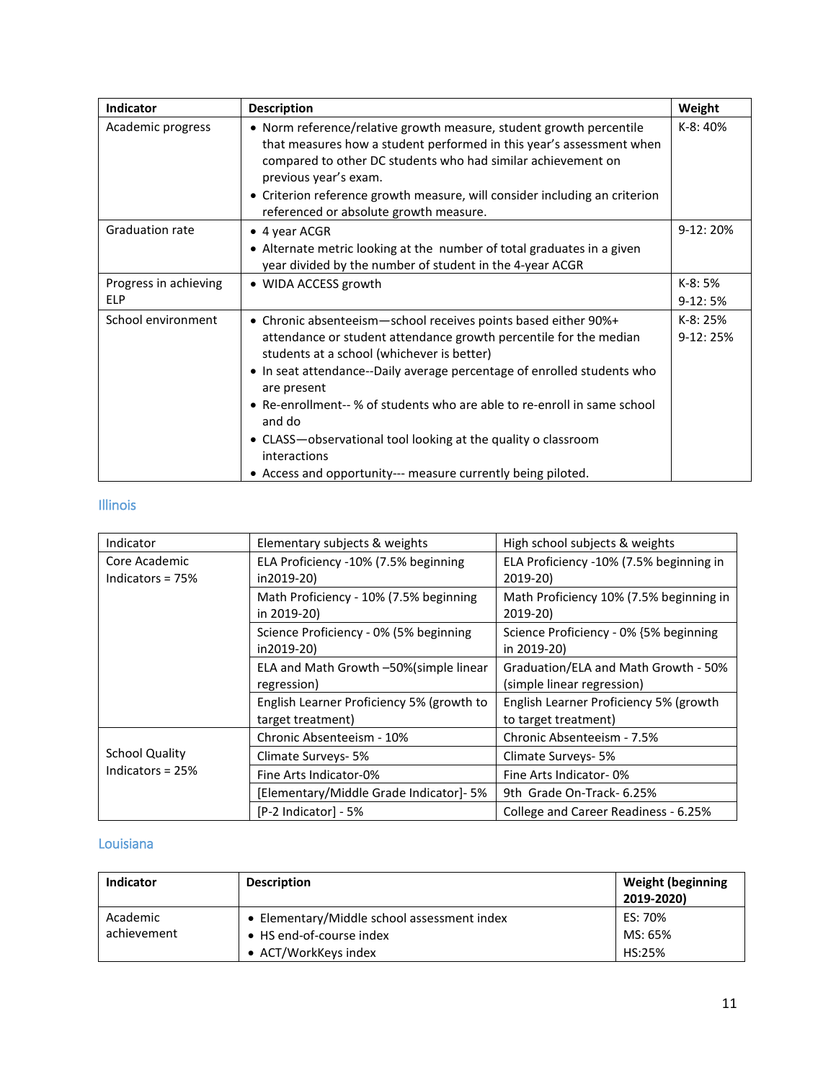| Indicator              | <b>Description</b>                                                                                                                                                                                                                                                                                                                                           | Weight     |
|------------------------|--------------------------------------------------------------------------------------------------------------------------------------------------------------------------------------------------------------------------------------------------------------------------------------------------------------------------------------------------------------|------------|
| Academic progress      | • Norm reference/relative growth measure, student growth percentile<br>that measures how a student performed in this year's assessment when<br>compared to other DC students who had similar achievement on<br>previous year's exam.<br>• Criterion reference growth measure, will consider including an criterion<br>referenced or absolute growth measure. | $K-8:40%$  |
| <b>Graduation rate</b> | • 4 year ACGR                                                                                                                                                                                                                                                                                                                                                | $9-12:20%$ |
|                        | • Alternate metric looking at the number of total graduates in a given<br>year divided by the number of student in the 4-year ACGR                                                                                                                                                                                                                           |            |
| Progress in achieving  | · WIDA ACCESS growth                                                                                                                                                                                                                                                                                                                                         | K-8: 5%    |
| <b>ELP</b>             |                                                                                                                                                                                                                                                                                                                                                              | $9-12:5%$  |
| School environment     | • Chronic absenteeism-school receives points based either 90%+                                                                                                                                                                                                                                                                                               | K-8: 25%   |
|                        | attendance or student attendance growth percentile for the median<br>students at a school (whichever is better)                                                                                                                                                                                                                                              | $9-12:25%$ |
|                        | • In seat attendance--Daily average percentage of enrolled students who<br>are present                                                                                                                                                                                                                                                                       |            |
|                        | • Re-enrollment-- % of students who are able to re-enroll in same school<br>and do                                                                                                                                                                                                                                                                           |            |
|                        | • CLASS-observational tool looking at the quality o classroom<br>interactions                                                                                                                                                                                                                                                                                |            |
|                        | • Access and opportunity--- measure currently being piloted.                                                                                                                                                                                                                                                                                                 |            |

## <span id="page-10-0"></span>Illinois

| Indicator                         | Elementary subjects & weights                                  | High school subjects & weights                                     |
|-----------------------------------|----------------------------------------------------------------|--------------------------------------------------------------------|
| Core Academic<br>Indicators = 75% | ELA Proficiency -10% (7.5% beginning<br>in2019-20)             | ELA Proficiency -10% (7.5% beginning in<br>2019-20)                |
|                                   | Math Proficiency - 10% (7.5% beginning<br>in 2019-20)          | Math Proficiency 10% (7.5% beginning in<br>2019-20)                |
|                                   | Science Proficiency - 0% (5% beginning<br>in2019-20)           | Science Proficiency - 0% {5% beginning<br>in 2019-20)              |
|                                   | ELA and Math Growth -50% (simple linear<br>regression)         | Graduation/ELA and Math Growth - 50%<br>(simple linear regression) |
|                                   | English Learner Proficiency 5% (growth to<br>target treatment) | English Learner Proficiency 5% (growth<br>to target treatment)     |
|                                   | Chronic Absenteeism - 10%                                      | Chronic Absenteeism - 7.5%                                         |
| <b>School Quality</b>             | Climate Surveys- 5%                                            | Climate Surveys- 5%                                                |
| Indicators = $25%$                | Fine Arts Indicator-0%                                         | Fine Arts Indicator-0%                                             |
|                                   | [Elementary/Middle Grade Indicator]- 5%                        | 9th Grade On-Track- 6.25%                                          |
|                                   | [P-2 Indicator] - 5%                                           | College and Career Readiness - 6.25%                               |

# <span id="page-10-1"></span>Louisiana

| <b>Indicator</b> | <b>Description</b>                          | <b>Weight (beginning</b><br>2019-2020) |
|------------------|---------------------------------------------|----------------------------------------|
| Academic         | • Elementary/Middle school assessment index | ES: 70%                                |
| achievement      | • HS end-of-course index                    | MS: 65%                                |
|                  | • ACT/WorkKeys index                        | HS:25%                                 |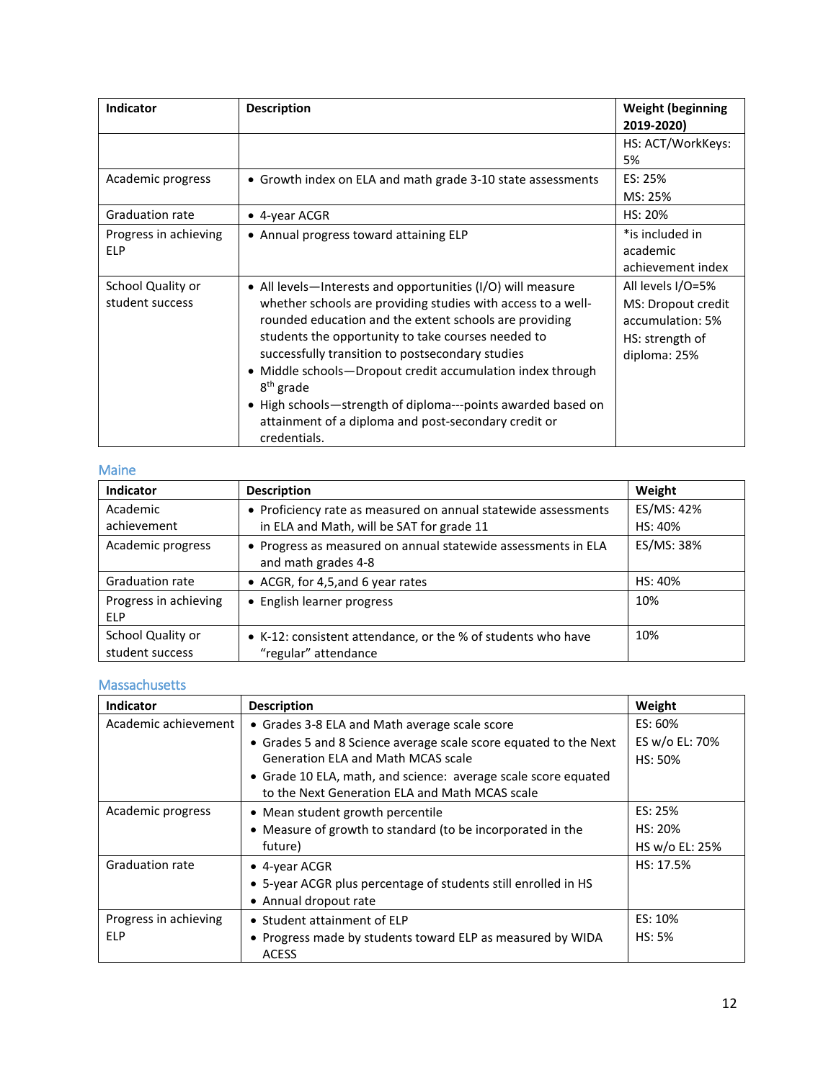| <b>Indicator</b>                     | <b>Description</b>                                                                                                                                                                                                                                                                                                                                                                                                                                                                                                              | <b>Weight (beginning</b><br>2019-2020)                                                         |
|--------------------------------------|---------------------------------------------------------------------------------------------------------------------------------------------------------------------------------------------------------------------------------------------------------------------------------------------------------------------------------------------------------------------------------------------------------------------------------------------------------------------------------------------------------------------------------|------------------------------------------------------------------------------------------------|
|                                      |                                                                                                                                                                                                                                                                                                                                                                                                                                                                                                                                 | HS: ACT/WorkKeys:<br>5%                                                                        |
| Academic progress                    | • Growth index on ELA and math grade 3-10 state assessments                                                                                                                                                                                                                                                                                                                                                                                                                                                                     | ES: 25%<br>MS: 25%                                                                             |
| Graduation rate                      | • 4-year ACGR                                                                                                                                                                                                                                                                                                                                                                                                                                                                                                                   | HS: 20%                                                                                        |
| Progress in achieving<br><b>ELP</b>  | • Annual progress toward attaining ELP                                                                                                                                                                                                                                                                                                                                                                                                                                                                                          | *is included in<br>academic<br>achievement index                                               |
| School Quality or<br>student success | • All levels-Interests and opportunities (I/O) will measure<br>whether schools are providing studies with access to a well-<br>rounded education and the extent schools are providing<br>students the opportunity to take courses needed to<br>successfully transition to postsecondary studies<br>• Middle schools—Dropout credit accumulation index through<br>$8th$ grade<br>High schools-strength of diploma---points awarded based on<br>$\bullet$<br>attainment of a diploma and post-secondary credit or<br>credentials. | All levels I/O=5%<br>MS: Dropout credit<br>accumulation: 5%<br>HS: strength of<br>diploma: 25% |

#### <span id="page-11-0"></span>Maine

| <b>Indicator</b>                     | <b>Description</b>                                                                   | Weight     |
|--------------------------------------|--------------------------------------------------------------------------------------|------------|
| Academic                             | • Proficiency rate as measured on annual statewide assessments                       | ES/MS: 42% |
| achievement                          | in ELA and Math, will be SAT for grade 11                                            | HS: 40%    |
| Academic progress                    | • Progress as measured on annual statewide assessments in ELA<br>and math grades 4-8 | ES/MS: 38% |
| <b>Graduation rate</b>               | • ACGR, for 4,5, and 6 year rates                                                    | HS: 40%    |
| Progress in achieving<br><b>ELP</b>  | • English learner progress                                                           | 10%        |
| School Quality or<br>student success | • K-12: consistent attendance, or the % of students who have<br>"regular" attendance | 10%        |

## <span id="page-11-1"></span>Massachusetts

| Indicator              | <b>Description</b>                                                                                               | Weight         |
|------------------------|------------------------------------------------------------------------------------------------------------------|----------------|
| Academic achievement   | • Grades 3-8 ELA and Math average scale score                                                                    | ES: 60%        |
|                        | • Grades 5 and 8 Science average scale score equated to the Next                                                 | ES w/o EL: 70% |
|                        | Generation ELA and Math MCAS scale                                                                               | HS: 50%        |
|                        | • Grade 10 ELA, math, and science: average scale score equated<br>to the Next Generation ELA and Math MCAS scale |                |
| Academic progress      | • Mean student growth percentile                                                                                 | ES: 25%        |
|                        | • Measure of growth to standard (to be incorporated in the                                                       | $HS: 20\%$     |
|                        | future)                                                                                                          | HS w/o EL: 25% |
| <b>Graduation rate</b> | • 4-year ACGR                                                                                                    | HS: 17.5%      |
|                        | • 5-year ACGR plus percentage of students still enrolled in HS                                                   |                |
|                        | • Annual dropout rate                                                                                            |                |
| Progress in achieving  | • Student attainment of ELP                                                                                      | ES: 10%        |
| <b>ELP</b>             | • Progress made by students toward ELP as measured by WIDA                                                       | HS: 5%         |
|                        | <b>ACESS</b>                                                                                                     |                |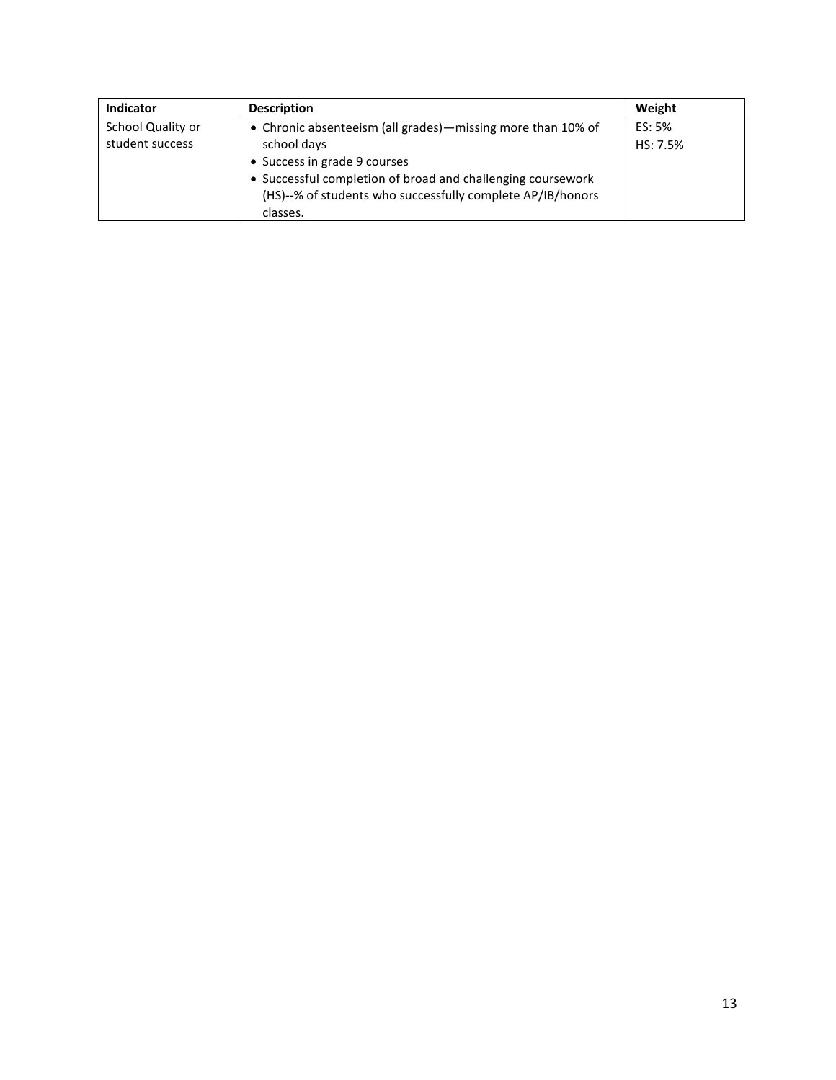| <b>Indicator</b>  | <b>Description</b>                                          | Weight   |
|-------------------|-------------------------------------------------------------|----------|
| School Quality or | • Chronic absenteeism (all grades)—missing more than 10% of | ES: 5%   |
| student success   | school days                                                 | HS: 7.5% |
|                   | • Success in grade 9 courses                                |          |
|                   | • Successful completion of broad and challenging coursework |          |
|                   | (HS)--% of students who successfully complete AP/IB/honors  |          |
|                   | classes.                                                    |          |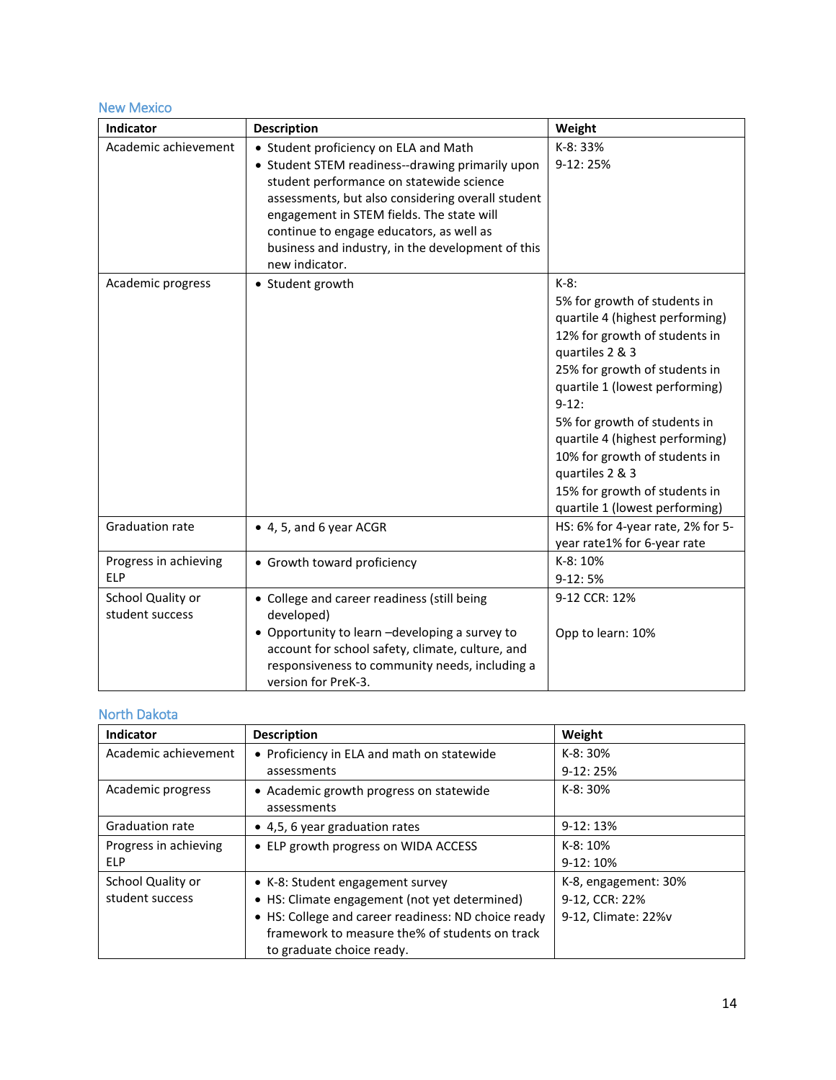## <span id="page-13-0"></span>New Mexico

| Indicator                            | <b>Description</b>                                                                                                                                                                                                                                                                                                                                         | Weight                                                                                                                                                                                                                                                                                                                                                                                                 |
|--------------------------------------|------------------------------------------------------------------------------------------------------------------------------------------------------------------------------------------------------------------------------------------------------------------------------------------------------------------------------------------------------------|--------------------------------------------------------------------------------------------------------------------------------------------------------------------------------------------------------------------------------------------------------------------------------------------------------------------------------------------------------------------------------------------------------|
| Academic achievement                 | • Student proficiency on ELA and Math<br>• Student STEM readiness--drawing primarily upon<br>student performance on statewide science<br>assessments, but also considering overall student<br>engagement in STEM fields. The state will<br>continue to engage educators, as well as<br>business and industry, in the development of this<br>new indicator. | K-8: 33%<br>9-12:25%                                                                                                                                                                                                                                                                                                                                                                                   |
| Academic progress                    | • Student growth                                                                                                                                                                                                                                                                                                                                           | $K-8$ :<br>5% for growth of students in<br>quartile 4 (highest performing)<br>12% for growth of students in<br>quartiles 2 & 3<br>25% for growth of students in<br>quartile 1 (lowest performing)<br>$9-12:$<br>5% for growth of students in<br>quartile 4 (highest performing)<br>10% for growth of students in<br>quartiles 2 & 3<br>15% for growth of students in<br>quartile 1 (lowest performing) |
| Graduation rate                      | • 4, 5, and 6 year ACGR                                                                                                                                                                                                                                                                                                                                    | HS: 6% for 4-year rate, 2% for 5-<br>year rate1% for 6-year rate                                                                                                                                                                                                                                                                                                                                       |
| Progress in achieving<br><b>ELP</b>  | • Growth toward proficiency                                                                                                                                                                                                                                                                                                                                | K-8: 10%<br>$9-12:5%$                                                                                                                                                                                                                                                                                                                                                                                  |
| School Quality or<br>student success | • College and career readiness (still being<br>developed)<br>• Opportunity to learn -developing a survey to<br>account for school safety, climate, culture, and<br>responsiveness to community needs, including a<br>version for PreK-3.                                                                                                                   | 9-12 CCR: 12%<br>Opp to learn: 10%                                                                                                                                                                                                                                                                                                                                                                     |

# <span id="page-13-1"></span>North Dakota

| Indicator              | <b>Description</b>                                  | Weight               |
|------------------------|-----------------------------------------------------|----------------------|
| Academic achievement   | • Proficiency in ELA and math on statewide          | $K-8:30%$            |
|                        | assessments                                         | $9-12:25%$           |
| Academic progress      | • Academic growth progress on statewide             | $K-8:30%$            |
|                        | assessments                                         |                      |
| <b>Graduation rate</b> | • 4.5, 6 year graduation rates                      | $9-12:13%$           |
| Progress in achieving  | • ELP growth progress on WIDA ACCESS                | $K-8:10%$            |
| <b>ELP</b>             |                                                     | $9-12:10%$           |
| School Quality or      | • K-8: Student engagement survey                    | K-8, engagement: 30% |
| student success        | • HS: Climate engagement (not yet determined)       | 9-12, CCR: 22%       |
|                        | • HS: College and career readiness: ND choice ready | 9-12, Climate: 22%v  |
|                        | framework to measure the% of students on track      |                      |
|                        | to graduate choice ready.                           |                      |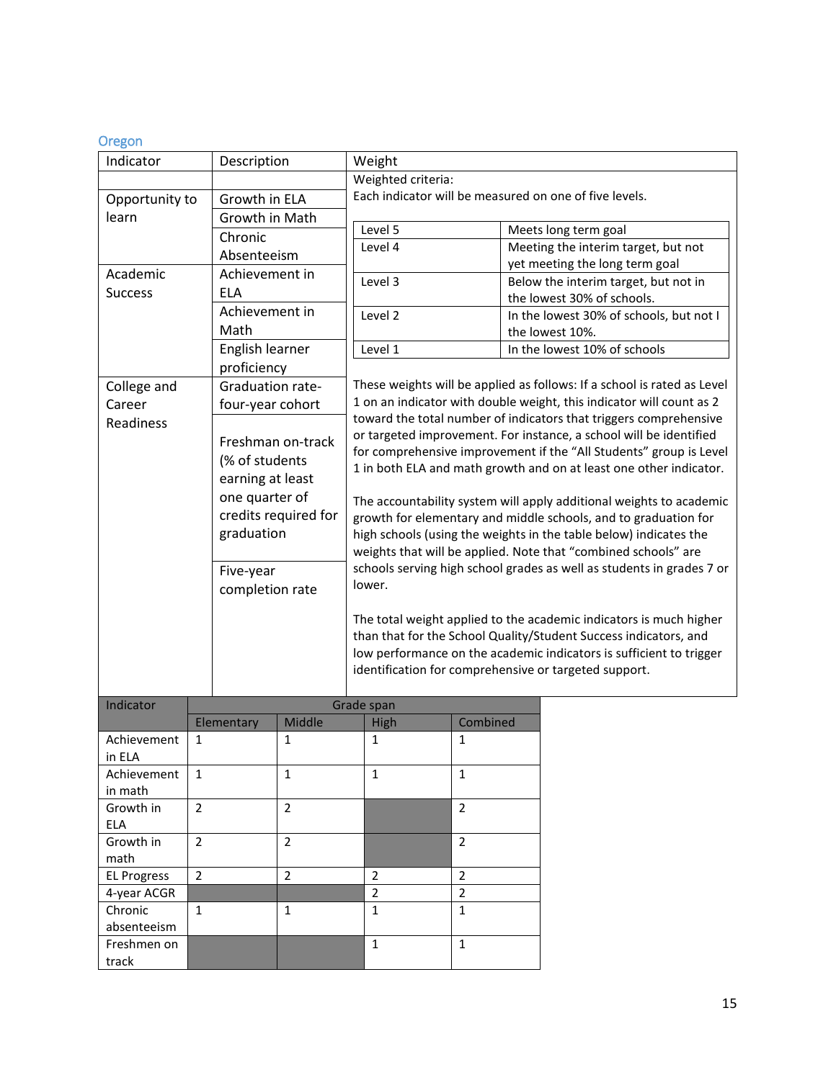## <span id="page-14-0"></span>Oregon

| Indicator             |                | Description      |                      |                                                                       | Weight                                                                                                                               |                |  |                                                                         |                |                |  |  |
|-----------------------|----------------|------------------|----------------------|-----------------------------------------------------------------------|--------------------------------------------------------------------------------------------------------------------------------------|----------------|--|-------------------------------------------------------------------------|----------------|----------------|--|--|
|                       |                |                  |                      |                                                                       | Weighted criteria:                                                                                                                   |                |  |                                                                         |                |                |  |  |
| Opportunity to        |                | Growth in ELA    |                      |                                                                       |                                                                                                                                      |                |  | Each indicator will be measured on one of five levels.                  |                |                |  |  |
| learn                 |                | Growth in Math   |                      |                                                                       |                                                                                                                                      |                |  |                                                                         |                |                |  |  |
|                       |                | Chronic          |                      |                                                                       | Level 5                                                                                                                              |                |  | Meets long term goal                                                    |                |                |  |  |
|                       |                | Absenteeism      |                      |                                                                       | Level 4                                                                                                                              |                |  | Meeting the interim target, but not                                     |                |                |  |  |
| Academic              |                | Achievement in   |                      |                                                                       |                                                                                                                                      |                |  | yet meeting the long term goal                                          |                |                |  |  |
| <b>Success</b>        |                | <b>ELA</b>       |                      |                                                                       | Level 3                                                                                                                              |                |  | Below the interim target, but not in<br>the lowest 30% of schools.      |                |                |  |  |
|                       |                | Achievement in   |                      |                                                                       | Level 2                                                                                                                              |                |  | In the lowest 30% of schools, but not I                                 |                |                |  |  |
|                       |                | Math             |                      |                                                                       |                                                                                                                                      |                |  | the lowest 10%.                                                         |                |                |  |  |
|                       |                | English learner  |                      |                                                                       | Level 1                                                                                                                              |                |  | In the lowest 10% of schools                                            |                |                |  |  |
|                       |                | proficiency      |                      |                                                                       |                                                                                                                                      |                |  |                                                                         |                |                |  |  |
| College and           |                | Graduation rate- |                      |                                                                       |                                                                                                                                      |                |  | These weights will be applied as follows: If a school is rated as Level |                |                |  |  |
| Career                |                | four-year cohort |                      |                                                                       |                                                                                                                                      |                |  | 1 on an indicator with double weight, this indicator will count as 2    |                |                |  |  |
| Readiness             |                |                  |                      |                                                                       |                                                                                                                                      |                |  | toward the total number of indicators that triggers comprehensive       |                |                |  |  |
|                       |                |                  | Freshman on-track    |                                                                       |                                                                                                                                      |                |  | or targeted improvement. For instance, a school will be identified      |                |                |  |  |
|                       |                | (% of students   |                      |                                                                       |                                                                                                                                      |                |  | for comprehensive improvement if the "All Students" group is Level      |                |                |  |  |
|                       |                | earning at least |                      |                                                                       |                                                                                                                                      |                |  | 1 in both ELA and math growth and on at least one other indicator.      |                |                |  |  |
|                       |                | one quarter of   |                      |                                                                       |                                                                                                                                      |                |  |                                                                         |                |                |  |  |
|                       |                |                  | credits required for |                                                                       | The accountability system will apply additional weights to academic                                                                  |                |  |                                                                         |                |                |  |  |
|                       |                | graduation       |                      |                                                                       | growth for elementary and middle schools, and to graduation for<br>high schools (using the weights in the table below) indicates the |                |  |                                                                         |                |                |  |  |
|                       |                |                  |                      | weights that will be applied. Note that "combined schools" are        |                                                                                                                                      |                |  |                                                                         |                |                |  |  |
|                       |                | Five-year        |                      | schools serving high school grades as well as students in grades 7 or |                                                                                                                                      |                |  |                                                                         |                |                |  |  |
|                       |                |                  |                      |                                                                       | lower.                                                                                                                               |                |  |                                                                         |                |                |  |  |
|                       |                | completion rate  |                      |                                                                       |                                                                                                                                      |                |  |                                                                         |                |                |  |  |
|                       |                |                  |                      |                                                                       |                                                                                                                                      |                |  | The total weight applied to the academic indicators is much higher      |                |                |  |  |
|                       |                |                  |                      |                                                                       |                                                                                                                                      |                |  | than that for the School Quality/Student Success indicators, and        |                |                |  |  |
|                       |                |                  |                      |                                                                       |                                                                                                                                      |                |  | low performance on the academic indicators is sufficient to trigger     |                |                |  |  |
|                       |                |                  |                      |                                                                       |                                                                                                                                      |                |  | identification for comprehensive or targeted support.                   |                |                |  |  |
|                       |                |                  |                      |                                                                       |                                                                                                                                      |                |  |                                                                         |                |                |  |  |
| Indicator             |                |                  |                      |                                                                       | Grade span                                                                                                                           |                |  |                                                                         |                |                |  |  |
|                       |                | Elementary       | Middle               |                                                                       | <b>High</b>                                                                                                                          | Combined       |  |                                                                         |                |                |  |  |
| Achievement           | 1              |                  | 1                    |                                                                       | 1                                                                                                                                    | 1              |  |                                                                         |                |                |  |  |
| in ELA<br>Achievement | $\mathbf{1}$   |                  | $\mathbf{1}$         |                                                                       | $\mathbf{1}$                                                                                                                         | $\mathbf{1}$   |  |                                                                         |                |                |  |  |
| in math               |                |                  |                      |                                                                       |                                                                                                                                      |                |  |                                                                         |                |                |  |  |
| Growth in             | $\overline{2}$ | $\overline{2}$   |                      |                                                                       |                                                                                                                                      | $\overline{2}$ |  |                                                                         |                |                |  |  |
| <b>ELA</b>            |                |                  |                      |                                                                       |                                                                                                                                      |                |  |                                                                         |                |                |  |  |
| Growth in             | $\overline{2}$ | $\overline{2}$   |                      |                                                                       |                                                                                                                                      | $\overline{2}$ |  |                                                                         |                |                |  |  |
| math                  |                |                  |                      |                                                                       |                                                                                                                                      |                |  |                                                                         |                |                |  |  |
| <b>EL Progress</b>    | $\overline{2}$ |                  | $\overline{2}$       |                                                                       | $\overline{2}$                                                                                                                       | $\overline{2}$ |  |                                                                         |                |                |  |  |
| 4-year ACGR           |                |                  |                      |                                                                       |                                                                                                                                      |                |  |                                                                         | $\overline{2}$ | $\overline{2}$ |  |  |
| Chronic               | $\mathbf{1}$   |                  | $\mathbf{1}$         |                                                                       | $\mathbf{1}$                                                                                                                         | $\mathbf{1}$   |  |                                                                         |                |                |  |  |
| absenteeism           |                |                  |                      |                                                                       |                                                                                                                                      |                |  |                                                                         |                |                |  |  |
| Freshmen on           |                |                  |                      |                                                                       | $\mathbf 1$                                                                                                                          | $\mathbf{1}$   |  |                                                                         |                |                |  |  |
| track                 |                |                  |                      |                                                                       |                                                                                                                                      |                |  |                                                                         |                |                |  |  |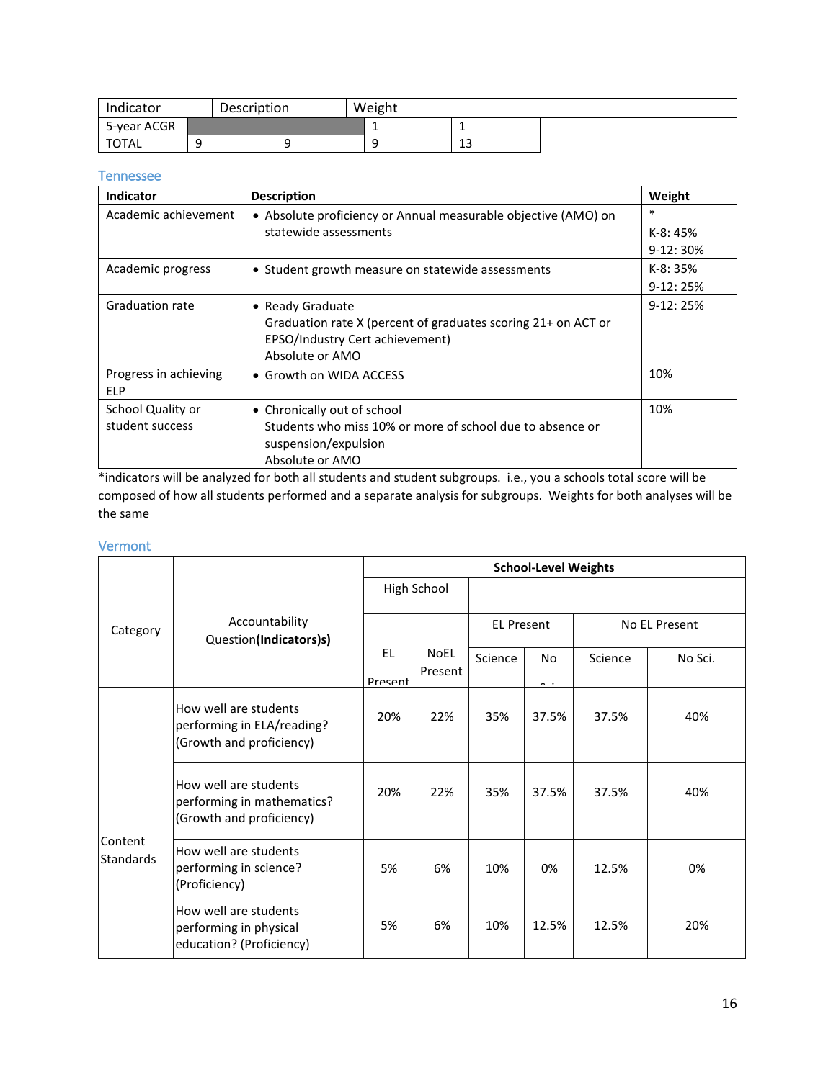| Indicator   | Description |  | Weight |          |  |
|-------------|-------------|--|--------|----------|--|
| 5-year ACGR |             |  |        |          |  |
| TOTAL       |             |  |        | 12<br>د⊥ |  |

#### <span id="page-15-0"></span>Tennessee

| Indicator              | <b>Description</b>                                             | Weight     |
|------------------------|----------------------------------------------------------------|------------|
| Academic achievement   | • Absolute proficiency or Annual measurable objective (AMO) on | *          |
|                        | statewide assessments                                          | $K-8:45%$  |
|                        |                                                                | $9-12:30%$ |
| Academic progress      | • Student growth measure on statewide assessments              | $K-8:35%$  |
|                        |                                                                | $9-12:25%$ |
| <b>Graduation rate</b> | • Ready Graduate                                               | $9-12:25%$ |
|                        | Graduation rate X (percent of graduates scoring 21+ on ACT or  |            |
|                        | EPSO/Industry Cert achievement)                                |            |
|                        | Absolute or AMO                                                |            |
| Progress in achieving  | • Growth on WIDA ACCESS                                        | 10%        |
| ELP                    |                                                                |            |
| School Quality or      | • Chronically out of school                                    | 10%        |
| student success        | Students who miss 10% or more of school due to absence or      |            |
|                        | suspension/expulsion                                           |            |
|                        | Absolute or AMO                                                |            |

 \*indicators will be analyzed for both all students and student subgroups. i.e., you a schools total score will be composed of how all students performed and a separate analysis for subgroups. Weights for both analyses will be the same

#### <span id="page-15-1"></span>Vermont

|                             |                                                                                 | <b>School-Level Weights</b> |                        |                   |                                 |               |         |
|-----------------------------|---------------------------------------------------------------------------------|-----------------------------|------------------------|-------------------|---------------------------------|---------------|---------|
| Category                    | Accountability<br>Question(Indicators)s)                                        | High School                 |                        |                   |                                 |               |         |
|                             |                                                                                 |                             |                        | <b>EL Present</b> |                                 | No EL Present |         |
|                             |                                                                                 | <b>EL</b><br>Present        | <b>NoEL</b><br>Present | Science           | N <sub>0</sub><br>$\sim$ $\sim$ | Science       | No Sci. |
|                             | How well are students<br>performing in ELA/reading?<br>(Growth and proficiency) | 20%                         | 22%                    | 35%               | 37.5%                           | 37.5%         | 40%     |
| Content<br><b>Standards</b> | How well are students<br>performing in mathematics?<br>(Growth and proficiency) | 20%                         | 22%                    | 35%               | 37.5%                           | 37.5%         | 40%     |
|                             | How well are students<br>performing in science?<br>(Proficiency)                | 5%                          | 6%                     | 10%               | 0%                              | 12.5%         | 0%      |
|                             | How well are students<br>performing in physical<br>education? (Proficiency)     | 5%                          | 6%                     | 10%               | 12.5%                           | 12.5%         | 20%     |